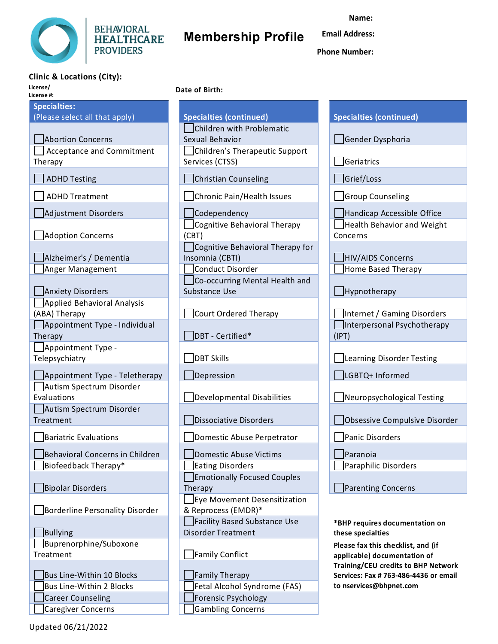

BEHAVIORAL **HEALTHCARE PROVIDERS** 

# **Membership Profile**

**Name: Email Address:**

**Phone Number:**

#### **Clinic & Locations (City):**

#### **License/**

**Specialties:** (Please select all that apply) **Specialties (continued) Specialties (continued) Abortion Concerns** | Acceptance and Commitment Therapy ADHD Testing Christian Counseling Grief/Loss GREAD Treatment **Chronic Pain/Health Issues** Chronic Pain Counseling Adjustment Disorders Codependency Handicap Accessible Office **Adoption Concerns** Alzheimer's / Dementia  $\Box$ Anger Management  $\Box$ Conduct Disorder Home Based Therapy **Anxiety Disorders** Applied Behavioral Analysis (ABA) Therapy **Court Ordered Therapy** Internet / Gaming Disorders Appointment Type - Individual Therapy  $\Box$  DBT - Certified\* Appointment Type - Telepsychiatry **DBT Skills** DBT Skills **DBT Skills** Learning Disorder Testing  $\Box$ Appointment Type - Teletherapy  $\Box$  Depression  $\Box$  LGBTQ+ Informed Autism Spectrum Disorder Evaluations **Developmental Disabilities** Neuropsychological Testing Autism Spectrum Disorder Treatment **Dissociative Disorders Compulsive Disorders** Obsessive Compulsive Disorder  $\Box$ Bariatric Evaluations  $\Box$  Domestic Abuse Perpetrator  $\Box$  Panic Disorders Behavioral Concerns in Children **Domestic Abuse Victims** Paranoia  $\Box$ Biofeedback Therapy\*  $\Box$  Eating Disorders  $\Box$  Paraphilic Disorders Bipolar Disorders Borderline Personality Disorder Bullying Buprenorphine/Suboxone Treatment **Family Conflict**  $\vert$ Bus Line-Within 10 Blocks  $\vert$   $\vert$  Family Therapy Bus Line-Within 2 Blocks Fetal Alcohol Syndrome (FAS) **to nservices@bhpnet.com** |Career Counseling Forensic Psychology **License #:**

### **Date of Birth:**

Children with Problematic Sexual Behavior General Communication of Gender Dysphoria Children's Therapeutic Support Services (CTSS) Geriatrics

Cognitive Behavioral Therapy (CBT) Cognitive Behavioral Therapy for Insomnia (CBTI) **HIV/AIDS** Concerns Co-occurring Mental Health and Substance Use Hypnotherapy

Emotionally Focused Couples Therapy  $\Box$  Parenting Concerns Eye Movement Desensitization & Reprocess (EMDR)\* Facility Based Substance Use Disorder Treatment

Caregiver Concerns Gambling Concerns

# Health Behavior and Weight Concerns

Interpersonal Psychotherapy (IPT)

#### **\*BHP requires documentation on these specialties**

**Please fax this checklist, and (if applicable) documentation of Training/CEU credits to BHP Network Services: Fax # 763-486-4436 or email** 

Updated 06/21/2022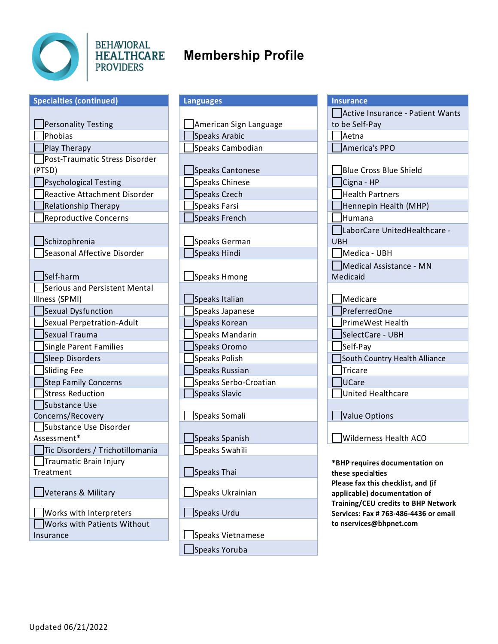

## **Membership Profile**

| <b>Specialties (continued)</b>     |
|------------------------------------|
|                                    |
| Personality Testing                |
| Phobias                            |
| Play Therapy                       |
| Post-Traumatic Stress Disorder     |
| (PTSD)                             |
| Psychological Testing              |
| Reactive Attachment Disorder       |
| Relationship Therapy               |
| Reproductive Concerns              |
|                                    |
| Schizophrenia                      |
| Seasonal Affective Disorder        |
|                                    |
| Self-harm                          |
| Serious and Persistent Mental      |
| Illness (SPMI)                     |
| Sexual Dysfunction                 |
| Sexual Perpetration-Adult          |
| Sexual Trauma                      |
| <b>Single Parent Families</b>      |
| Sleep Disorders                    |
| <b>Sliding Fee</b>                 |
| Step Family Concerns               |
| <b>Stress Reduction</b>            |
| Substance Use                      |
| Concerns/Recovery                  |
| Substance Use Disorder             |
| Assessment*                        |
| Tic Disorders / Trichotillomania   |
| Traumatic Brain Injury             |
| Treatment                          |
| Veterans & Military                |
|                                    |
| Works with Interpreters            |
| <b>Works with Patients Without</b> |
| Insurance                          |
|                                    |

- **Nersonality Testing American Sign Language Phobias Speaks Arabic** Aetha Aetha Aetha Aetha Aetha Aetha Aetha Aetha Aetha Aetha Aetha Aetha Aetha Aetha Aeth **Play Speaks Cambodian** America's PPO
- **Psychological Testing Speaks Chinese** Cigna HP  $\Box$ Speaks Czech Health Partners  $\Box$ Speaks Farsi Hennepin Health (MHP) Reproductive Concernsicution Concerns Speaks French Humana

 $\Box$ Speaks German  $\Box$ Speaks Hindi Medica - UBH

#### $\Box$  Speaks Hmong

| ess (SPMI)                          | Speaks Italian        | Medica  |
|-------------------------------------|-----------------------|---------|
| Sexual Dysfunction                  | Speaks Japanese       | Preferr |
| Sexual Perpetration-Adult           | Speaks Korean         | PrimeV  |
| Sexual Trauma                       | Speaks Mandarin       | SelectO |
| <b>Single Parent Families</b>       | Speaks Oromo          | Self-Pa |
| Sleep Disorders                     | Speaks Polish         | South C |
| Sliding Fee                         | Speaks Russian        | Tricare |
| <b>Step Family Concerns</b>         | Speaks Serbo-Croatian | UCare   |
| <b>Stress Reduction</b>             | Speaks Slavic         | United  |
| $0.1$ and $0.1$ and $0.1$ and $0.1$ |                       |         |

□Speaks Somali Value Options

 $\Box$  Speaks Swahili

 $\Box$ Speaks Thai

 $\Box$ Speaks Ukrainian

 $\Box$ Speaks Urdu

- Speaks Vietnamese
- Speaks Yoruba

#### **Specialties (continued) Languages Insurance**

Active Insurance - Patient Wants to be Self-Pay Speaks Cantonese **Blue Cross Blue Shield** 

LaborCare UnitedHealthcare - UBH

Medical Assistance - MN Medicaid

| Medicare  $\neg$ PreferredOne PrimeWest Health  $\Box$ SelectCare - UBH  $\Box$ Self-Pay  $\Box$  South Country Health Alliance United Healthcare

Assessment Speaks Spanish Wilderness Health ACO

**\*BHP requires documentation on these specialties Please fax this checklist, and (if applicable) documentation of Training/CEU credits to BHP Network Services: Fax # 763-486-4436 or email** to nservices@bhpnet.com